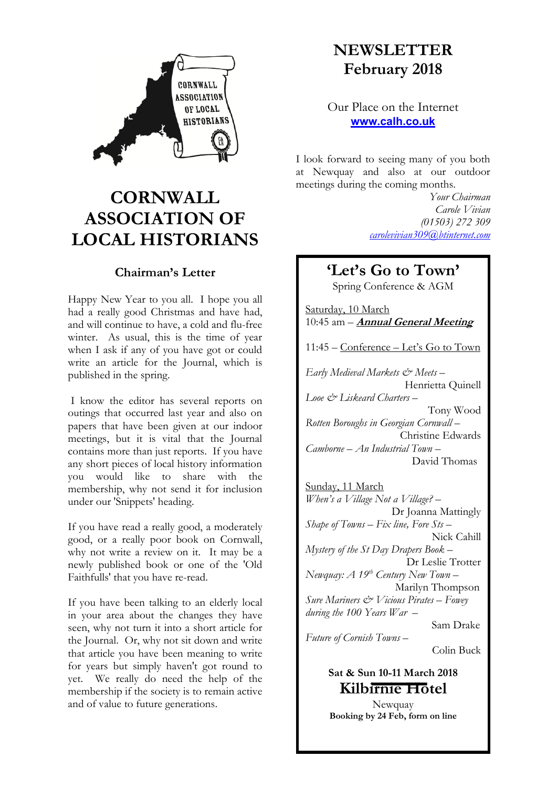

# **CORNWALL ASSOCIATION OF LOCAL HISTORIANS**

## **Chairman's Letter**

Happy New Year to you all. I hope you all had a really good Christmas and have had, and will continue to have, a cold and flu-free winter. As usual, this is the time of year when I ask if any of you have got or could write an article for the Journal, which is published in the spring.

I know the editor has several reports on outings that occurred last year and also on papers that have been given at our indoor meetings, but it is vital that the Journal contains more than just reports. If you have any short pieces of local history information you would like to share with the membership, why not send it for inclusion under our 'Snippets' heading.

If you have read a really good, a moderately good, or a really poor book on Cornwall, why not write a review on it. It may be a newly published book or one of the 'Old Faithfulls' that you have re-read.

If you have been talking to an elderly local in your area about the changes they have seen, why not turn it into a short article for the Journal. Or, why not sit down and write that article you have been meaning to write for years but simply haven't got round to yet. We really do need the help of the membership if the society is to remain active and of value to future generations.

# **NEWSLETTER February 2018**

Our Place on the Internet **www.calh.co.uk**

I look forward to seeing many of you both at Newquay and also at our outdoor meetings during the coming months.

> *Your Chairman Carole Vivian (01503) 272 309 carolevivian309@btinternet.com*

# **'Let's Go to Town'**

Spring Conference & AGM

Saturday, 10 March 10:45 am – **Annual General Meeting**

11:45 – Conference – Let's Go to Town

*Early Medieval Markets & Meets* – Henrietta Quinell *Looe & Liskeard Charters* – Tony Wood *Rotten Boroughs in Georgian Cornwall* – Christine Edwards *Camborne – An Industrial Town* – David Thomas

Sunday, 11 March *When's a Village Not a Village?* – Dr Joanna Mattingly *Shape of Towns – Fix line, Fore Sts* – Nick Cahill *Mystery of the St Day Drapers Book* – Dr Leslie Trotter *Newquay: A 19th Century New Town* – Marilyn Thompson *Sure Mariners & Vicious Pirates – Fowey during the 100 Years War* – Sam Drake *Future of Cornish Towns –* Colin Buck

> **Sat & Sun 10-11 March 2018 Kilbirnie Hotel**

> Newquay **Booking by 24 Feb, form on line**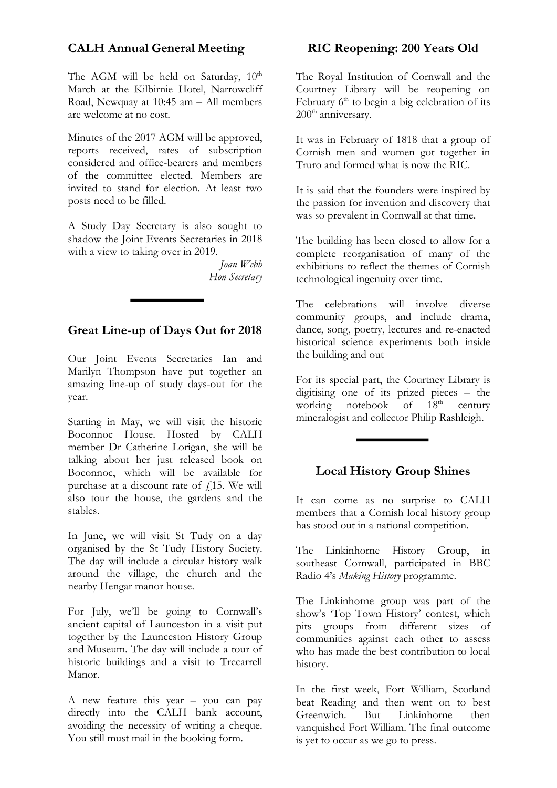## **CALH Annual General Meeting**

The AGM will be held on Saturday,  $10^{th}$ March at the Kilbirnie Hotel, Narrowcliff Road, Newquay at 10:45 am – All members are welcome at no cost.

Minutes of the 2017 AGM will be approved, reports received, rates of subscription considered and office-bearers and members of the committee elected. Members are invited to stand for election. At least two posts need to be filled.

A Study Day Secretary is also sought to shadow the Joint Events Secretaries in 2018 with a view to taking over in 2019.

> *Joan Webb Hon Secretary*

#### **Great Line-up of Days Out for 2018**

Our Joint Events Secretaries Ian and Marilyn Thompson have put together an amazing line-up of study days-out for the year.

Starting in May, we will visit the historic Boconnoc House. Hosted by CALH member Dr Catherine Lorigan, she will be talking about her just released book on Boconnoc, which will be available for purchase at a discount rate of  $f$ 15. We will also tour the house, the gardens and the stables.

In June, we will visit St Tudy on a day organised by the St Tudy History Society. The day will include a circular history walk around the village, the church and the nearby Hengar manor house.

For July, we'll be going to Cornwall's ancient capital of Launceston in a visit put together by the Launceston History Group and Museum. The day will include a tour of historic buildings and a visit to Trecarrell Manor.

A new feature this year – you can pay directly into the CALH bank account, avoiding the necessity of writing a cheque. You still must mail in the booking form.

### **RIC Reopening: 200 Years Old**

The Royal Institution of Cornwall and the Courtney Library will be reopening on February  $6<sup>th</sup>$  to begin a big celebration of its 200<sup>th</sup> anniversary.

It was in February of 1818 that a group of Cornish men and women got together in Truro and formed what is now the RIC.

It is said that the founders were inspired by the passion for invention and discovery that was so prevalent in Cornwall at that time.

The building has been closed to allow for a complete reorganisation of many of the exhibitions to reflect the themes of Cornish technological ingenuity over time.

The celebrations will involve diverse community groups, and include drama, dance, song, poetry, lectures and re-enacted historical science experiments both inside the building and out

For its special part, the Courtney Library is digitising one of its prized pieces – the working notebook of  $18<sup>th</sup>$  century mineralogist and collector Philip Rashleigh.

#### **Local History Group Shines**

It can come as no surprise to CALH members that a Cornish local history group has stood out in a national competition.

The Linkinhorne History Group, in southeast Cornwall, participated in BBC Radio 4's *Making History* programme.

The Linkinhorne group was part of the show's 'Top Town History' contest, which pits groups from different sizes of communities against each other to assess who has made the best contribution to local history.

In the first week, Fort William, Scotland beat Reading and then went on to best Greenwich. But Linkinhorne then vanquished Fort William. The final outcome is yet to occur as we go to press.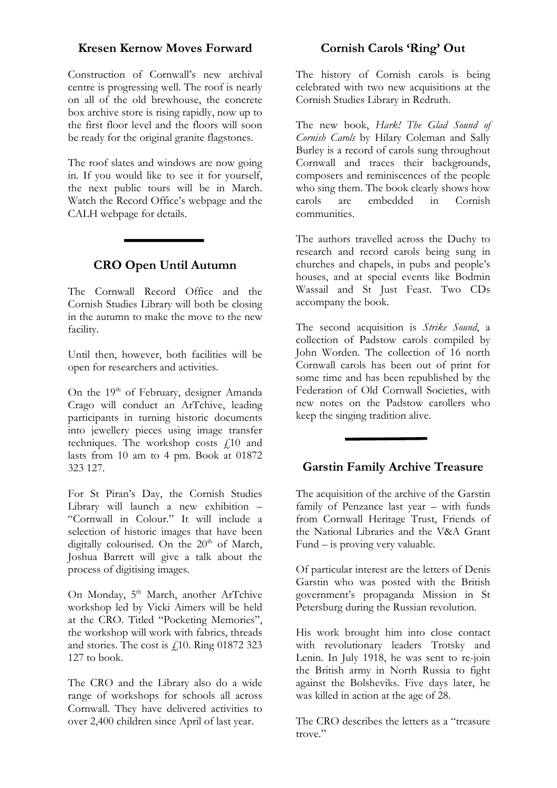#### **Kresen Kernow Moves Forward**

Construction of Cornwall's new archival centre is progressing well. The roof is nearly on all of the old brewhouse, the concrete box archive store is rising rapidly, now up to the first floor level and the floors will soon be ready for the original granite flagstones.

The roof slates and windows are now going in. If you would like to see it for yourself, the next public tours will be in March. Watch the Record Office's webpage and the CALH webpage for details.

#### **CRO Open Until Autumn**

The Cornwall Record Office and the Cornish Studies Library will both be closing in the autumn to make the move to the new facility.

Until then, however, both facilities will be open for researchers and activities.

On the 19<sup>th</sup> of February, designer Amanda Crago will conduct an ArTchive, leading participants in turning historic documents into jewellery pieces using image transfer techniques. The workshop costs  $f10$  and lasts from 10 am to 4 pm. Book at 01872 323 127.

For St Piran's Day, the Cornish Studies Library will launch a new exhibition – "Cornwall in Colour." It will include a selection of historic images that have been digitally colourised. On the  $20<sup>th</sup>$  of March, Joshua Barrett will give a talk about the process of digitising images.

On Monday, 5<sup>th</sup> March, another ArTchive workshop led by Vicki Aimers will be held at the CRO. Titled "Pocketing Memories", the workshop will work with fabrics, threads and stories. The cost is  $\ell$ 10. Ring 01872 323 127 to book.

The CRO and the Library also do a wide range of workshops for schools all across Cornwall. They have delivered activities to over 2,400 children since April of last year.

### **Cornish Carols 'Ring' Out**

The history of Cornish carols is being celebrated with two new acquisitions at the Cornish Studies Library in Redruth.

The new book, *Hark! The Glad Sound of Cornish Carols* by Hilary Coleman and Sally Burley is a record of carols sung throughout Cornwall and traces their backgrounds, composers and reminiscences of the people who sing them. The book clearly shows how carols are embedded in Cornish communities.

The authors travelled across the Duchy to research and record carols being sung in churches and chapels, in pubs and people's houses, and at special events like Bodmin Wassail and St Just Feast. Two CDs accompany the book.

The second acquisition is *Strike Sound*, a collection of Padstow carols compiled by John Worden. The collection of 16 north Cornwall carols has been out of print for some time and has been republished by the Federation of Old Cornwall Societies, with new notes on the Padstow carollers who keep the singing tradition alive.

#### **Garstin Family Archive Treasure**

The acquisition of the archive of the Garstin family of Penzance last year – with funds from Cornwall Heritage Trust, Friends of the National Libraries and the V&A Grant Fund – is proving very valuable.

Of particular interest are the letters of Denis Garstin who was posted with the British government's propaganda Mission in St Petersburg during the Russian revolution.

His work brought him into close contact with revolutionary leaders Trotsky and Lenin. In July 1918, he was sent to re-join the British army in North Russia to fight against the Bolsheviks. Five days later, he was killed in action at the age of 28.

The CRO describes the letters as a "treasure trove."